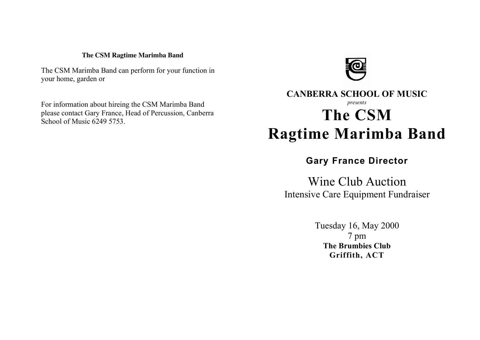#### **The CSM Ragtime Marimba Band**

The CSM Marimba Band can perform for your function in your home, garden or

For information about hireing the CSM Marimba Band please contact Gary France, Head of Percussion, Canberra School of Music 6249 5753.



# **CANBERRA SCHOOL OF MUSIC** *presents* **The CSM Ragtime Marimba Band**

# **Gary France Director**

Wine Club Auction Intensive Care Equipment Fundraiser

> Tuesday 16, May 2000 7 pm **The Brumbies Club Griffith, ACT**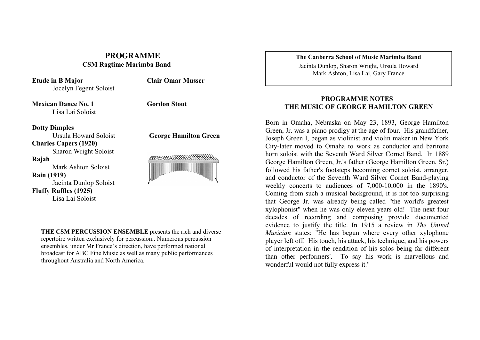## **PROGRAMME CSM Ragtime Marimba Band**

**Etude in B Major** Jocelyn Fegent Soloist **Clair Omar Musser**

**Mexican Dance No. 1** Lisa Lai Soloist **Gordon Stout**

#### **Dotty Dimples**

Ursula Howard Soloist **Charles Capers (1920)** Sharon Wright Soloist **Rajah** Mark Ashton Soloist **Rain (1919)** Jacinta Dunlop Soloist

**Fluffy Ruffles (1925)**

Lisa Lai Soloist

**George Hamilton Green**



**THE CSM PERCUSSION ENSEMBLE** presents the rich and diverse repertoire written exclusively for percussion.. Numerous percussion ensembles, under Mr France's direction, have performed national broadcast for ABC Fine Music as well as many public performances throughout Australia and North America.

**The Canberra School of Music Marimba Band**

Jacinta Dunlop, Sharon Wright, Ursula Howard Mark Ashton, Lisa Lai, Gary France

### **PROGRAMME NOTES THE MUSIC OF GEORGE HAMILTON GREEN**

Born in Omaha, Nebraska on May 23, 1893, George Hamilton Green, Jr. was a piano prodigy at the age of four. His grandfather, Joseph Green I, began as violinist and violin maker in New York City-later moved to Omaha to work as conductor and baritone horn soloist with the Seventh Ward Silver Cornet Band. In 1889 George Hamilton Green, Jr.'s father (George Hamilton Green, Sr.) followed his father's footsteps becoming cornet soloist, arranger, and conductor of the Seventh Ward Silver Cornet Band-playing weekly concerts to audiences of 7,000-10,000 in the 1890's. Coming from such a musical background, it is not too surprising that George Jr. was already being called "the world's greatest xylophonist" when he was only eleven years old! The next four decades of recording and composing provide documented evidence to justify the title. In 1915 a review in *The United Musician* states: "He has begun where every other xylophone player left off. His touch, his attack, his technique, and his powers of interpretation in the rendition of his solos being far different than other performers'. To say his work is marvellous and wonderful would not fully express it."